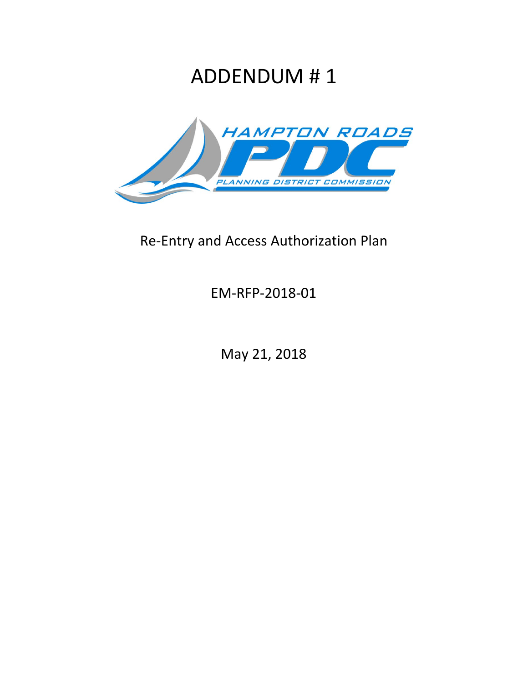## ADDENDUM # 1



## Re-Entry and Access Authorization Plan

EM-RFP-2018-01

May 21, 2018